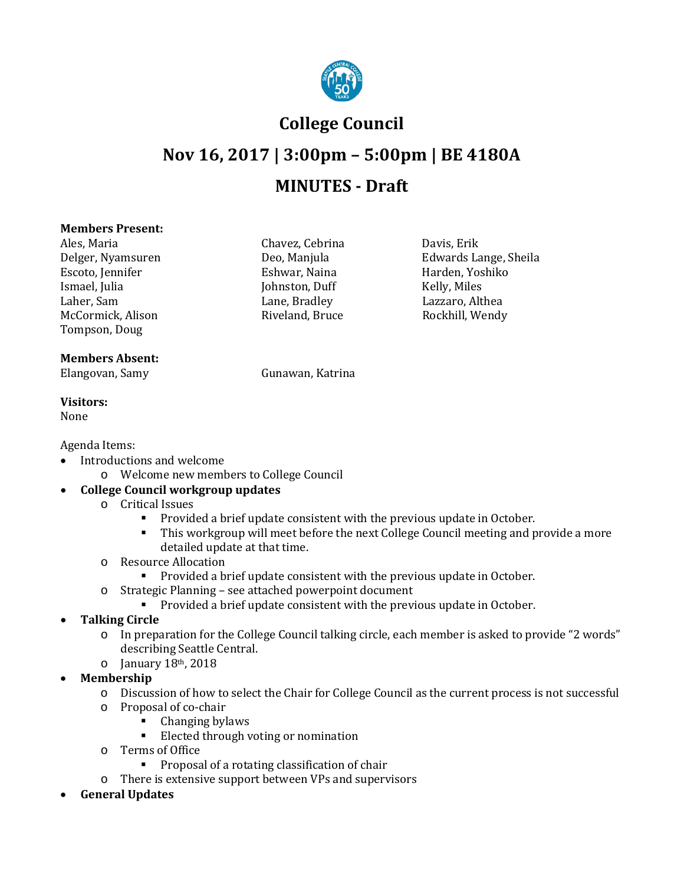

## **College Council**

# **Nov 16, 2017 | 3:00pm – 5:00pm | BE 4180A MINUTES - Draft**

#### **Members Present:**

Ales, Maria Chavez, Cebrina Davis, Erik Escoto, Jennifer Eshwar, Naina Harden, Yoshiko Harden, Yoshiko Harden, Yoshiko Harden, Yoshiko Harden, Yoshiko Harden, Yoshiko Harden, Yoshiko Harden, Yoshiko Harden, Yoshiko Harden, Yoshiko Harden, Yoshiko Harden, Yoshiko Ismael, Julia (Johnston, Duff Laher, Sam (Johnston, Duff Kelly) McCormick, Alison Tompson, Doug

#### **Members Absent:**

Elangovan, Samy Gunawan, Katrina

**Visitors:**

None

Agenda Items:

- Introductions and welcome
	- o Welcome new members to College Council

### • **College Council workgroup updates**

- o Critical Issues
	- **Provided a brief update consistent with the previous update in October.**<br>This workgroun will meet before the next College Council meeting and n
	- This workgroup will meet before the next College Council meeting and provide a more detailed update at that time.
- o Resource Allocation
	- **Provided a brief update consistent with the previous update in October.**
- o Strategic Planning see attached powerpoint document
	- **Provided a brief update consistent with the previous update in October.**
- **Talking Circle**
	- o In preparation for the College Council talking circle, each member is asked to provide "2 words" describing Seattle Central.
	- $\circ$  January 18<sup>th</sup>, 2018
- **Membership**
	- o Discussion of how to select the Chair for College Council as the current process is not successful
	- o Proposal of co-chair
		- Changing bylaws<br>■ Elected through y
		- Elected through voting or nomination
	- o Terms of Office
		- Proposal of a rotating classification of chair
	- o There is extensive support between VPs and supervisors
- **General Updates**

Delger, Nyamsuren Deo, Manjula Edwards Lange, Sheila Laher, Sam Lane, Bradley Lazzaro, Althea